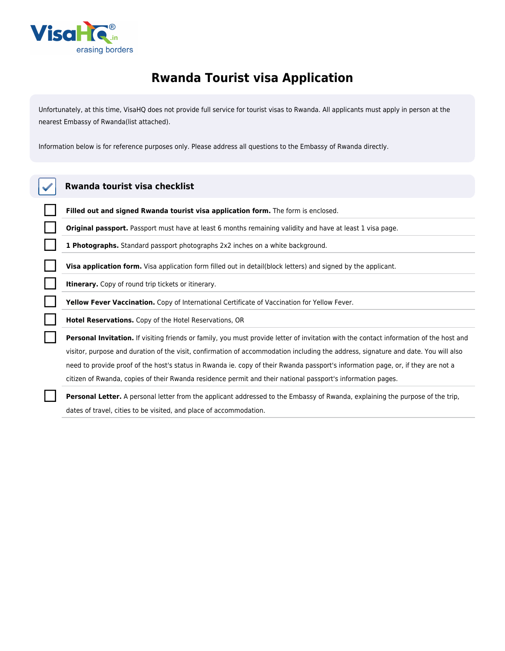

## **Rwanda Tourist visa Application**

*Unfortunately, at this time, VisaHQ does not provide full service for tourist visas to Rwanda. All applicants must apply in person at the nearest Embassy of Rwanda(list attached).*

*Information below is for reference purposes only. Please address all questions to the Embassy of Rwanda directly.*

| Rwanda tourist visa checklist                                                                                                          |
|----------------------------------------------------------------------------------------------------------------------------------------|
| Filled out and signed Rwanda tourist visa application form. The form is enclosed.                                                      |
| Original passport. Passport must have at least 6 months remaining validity and have at least 1 visa page.                              |
| <b>1 Photographs.</b> Standard passport photographs 2x2 inches on a white background.                                                  |
| <b>Visa application form.</b> Visa application form filled out in detail(block letters) and signed by the applicant.                   |
| <b>Itinerary.</b> Copy of round trip tickets or itinerary.                                                                             |
| <b>Yellow Fever Vaccination.</b> Copy of International Certificate of Vaccination for Yellow Fever.                                    |
| Hotel Reservations. Copy of the Hotel Reservations, OR                                                                                 |
| Personal Invitation. If visiting friends or family, you must provide letter of invitation with the contact information of the host and |
| visitor, purpose and duration of the visit, confirmation of accommodation including the address, signature and date. You will also     |
| need to provide proof of the host's status in Rwanda ie, copy of their Rwanda passport's information page, or, if they are not a       |

*citizen of Rwanda, copies of their Rwanda residence permit and their national passport's information pages.*

**Personal Letter.** *A personal letter from the applicant addressed to the Embassy of Rwanda, explaining the purpose of the trip, dates of travel, cities to be visited, and place of accommodation.*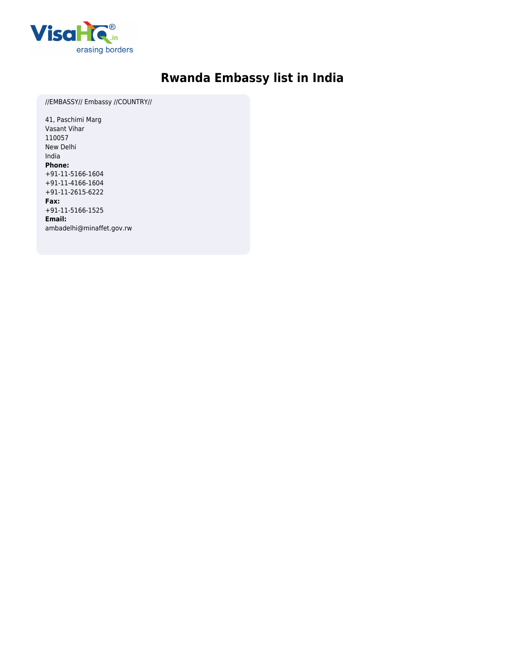

## **Rwanda Embassy list in India**

*//EMBASSY// Embassy //COUNTRY//*

*41, Paschimi Marg Vasant Vihar 110057 New Delhi India* **Phone:** *+91-11-5166-1604 +91-11-4166-1604 +91-11-2615-6222* **Fax:** *+91-11-5166-1525* **Email:** *ambadelhi@minaffet.gov.rw*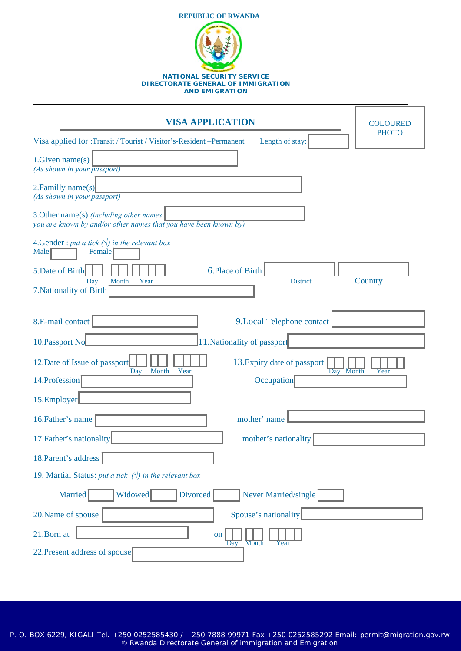

| <b>VISA APPLICATION</b>                                                                                     | <b>COLOURED</b> |  |  |
|-------------------------------------------------------------------------------------------------------------|-----------------|--|--|
| Visa applied for :Transit / Tourist / Visitor's-Resident-Permanent<br>Length of stay:                       | <b>PHOTO</b>    |  |  |
| 1. Given name(s)<br>(As shown in your passport)                                                             |                 |  |  |
| 2. Familly name(s)<br>(As shown in your passport)                                                           |                 |  |  |
| 3. Other name(s) (including other names<br>you are known by and/or other names that you have been known by) |                 |  |  |
| 4. Gender : put a tick $(\sqrt{})$ in the relevant box<br>Male<br>Female                                    |                 |  |  |
| 5. Date of Birth<br>6.Place of Birth                                                                        |                 |  |  |
| Year<br><b>District</b><br>Day<br>Month<br>7. Nationality of Birth                                          | Country         |  |  |
| 8.E-mail contact<br>9. Local Telephone contact                                                              |                 |  |  |
| 10. Passport No<br>11. Nationality of passport                                                              |                 |  |  |
| 12. Date of Issue of passport<br>13. Expiry date of passport<br>Month<br>Year<br>Day<br>Day Month           | Year            |  |  |
| 14. Profession<br>Occupation                                                                                |                 |  |  |
| 15.Employer                                                                                                 |                 |  |  |
| mother' name<br>16. Father's name                                                                           |                 |  |  |
| 17. Father's nationality<br>mother's nationality                                                            |                 |  |  |
| 18. Parent's address                                                                                        |                 |  |  |
| 19. Martial Status: put a tick $(\sqrt{})$ in the relevant box                                              |                 |  |  |
| Never Married/single<br>Married<br>Widowed<br><b>Divorced</b>                                               |                 |  |  |
| Spouse's nationality<br>20. Name of spouse                                                                  |                 |  |  |
| 21.Born at<br>on<br><b>Month</b><br>Day<br>Year                                                             |                 |  |  |
| 22. Present address of spouse                                                                               |                 |  |  |

P. O. BOX 6229, KIGALI Tel. +250 0252585430 / +250 7888 99971 Fax +250 0252585292 Email: permit@migration.gov.rw © Rwanda Directorate General of immigration and Emigration